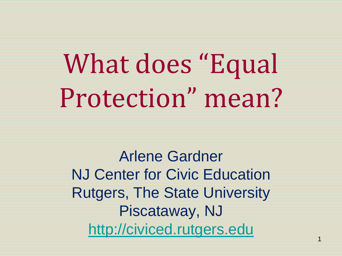# What does "Equal Protection" mean?

Arlene Gardner NJ Center for Civic Education Rutgers, The State University Piscataway, NJ [http://civiced.rutgers.edu](http://civiced.rutgers.edu/)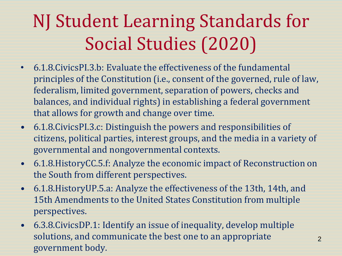# NJ Student Learning Standards for Social Studies (2020)

- 6.1.8.CivicsPI.3.b: Evaluate the effectiveness of the fundamental principles of the Constitution (i.e., consent of the governed, rule of law, federalism, limited government, separation of powers, checks and balances, and individual rights) in establishing a federal government that allows for growth and change over time.
- 6.1.8.CivicsPI.3.c: Distinguish the powers and responsibilities of citizens, political parties, interest groups, and the media in a variety of governmental and nongovernmental contexts.
- 6.1.8.HistoryCC.5.f: Analyze the economic impact of Reconstruction on the South from different perspectives.
- 6.1.8.HistoryUP.5.a: Analyze the effectiveness of the 13th, 14th, and 15th Amendments to the United States Constitution from multiple perspectives.
- 6.3.8.CivicsDP.1: Identify an issue of inequality, develop multiple solutions, and communicate the best one to an appropriate government body.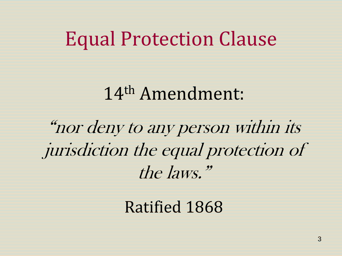#### Equal Protection Clause

#### 14th Amendment:

"nor deny to any person within its jurisdiction the equal protection of the laws."

#### Ratified 1868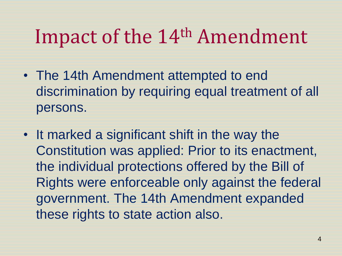### Impact of the 14<sup>th</sup> Amendment

- The 14th Amendment attempted to end discrimination by requiring equal treatment of all persons.
- It marked a significant shift in the way the Constitution was applied: Prior to its enactment, the individual protections offered by the Bill of Rights were enforceable only against the federal government. The 14th Amendment expanded these rights to state action also.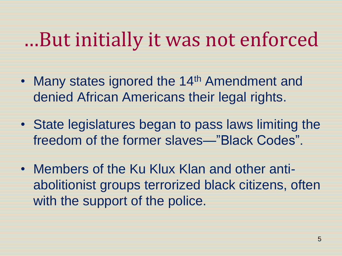### …But initially it was not enforced

- Many states ignored the 14<sup>th</sup> Amendment and denied African Americans their legal rights.
- State legislatures began to pass laws limiting the freedom of the former slaves—"Black Codes".
- Members of the Ku Klux Klan and other antiabolitionist groups terrorized black citizens, often with the support of the police.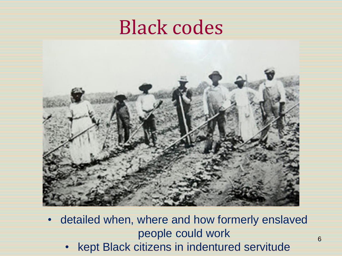#### Black codes



- detailed when, where and how formerly enslaved people could work
	- kept Black citizens in indentured servitude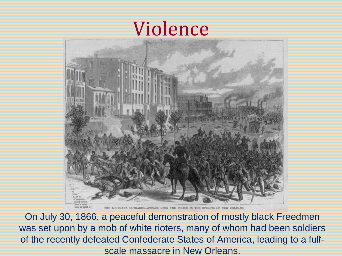### Violence



On July 30, 1866, a peaceful demonstration of mostly black Freedmen was set upon by a mob of white rioters, many of whom had been soldiers of the recently defeated Confederate States of America, leading to a fullscale massacre in New Orleans.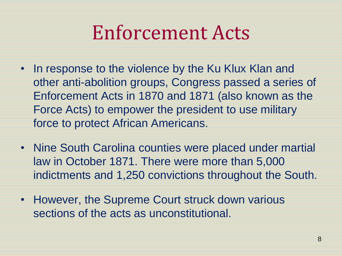# Enforcement Acts

- In response to the violence by the Ku Klux Klan and other anti-abolition groups, Congress passed a series of Enforcement Acts in 1870 and 1871 (also known as the Force Acts) to empower the president to use military force to protect African Americans.
- Nine South Carolina counties were placed under martial law in October 1871. There were more than 5,000 indictments and 1,250 convictions throughout the South.
- However, the Supreme Court struck down various sections of the acts as unconstitutional.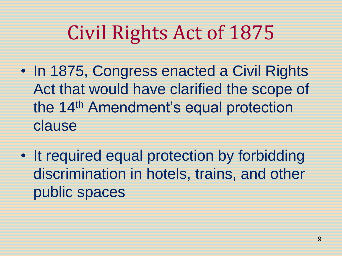# Civil Rights Act of 1875

- In 1875, Congress enacted a Civil Rights Act that would have clarified the scope of the 14th Amendment's equal protection clause
- It required equal protection by forbidding discrimination in hotels, trains, and other public spaces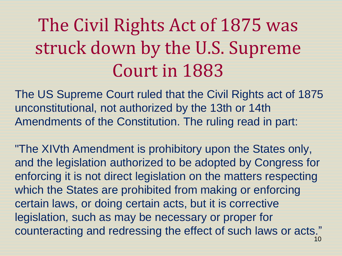# The Civil Rights Act of 1875 was struck down by the U.S. Supreme Court in 1883

The US Supreme Court ruled that the Civil Rights act of 1875 unconstitutional, not authorized by the 13th or 14th Amendments of the Constitution. The ruling read in part:

"The XIVth Amendment is prohibitory upon the States only, and the legislation authorized to be adopted by Congress for enforcing it is not direct legislation on the matters respecting which the States are prohibited from making or enforcing certain laws, or doing certain acts, but it is corrective legislation, such as may be necessary or proper for counteracting and redressing the effect of such laws or acts."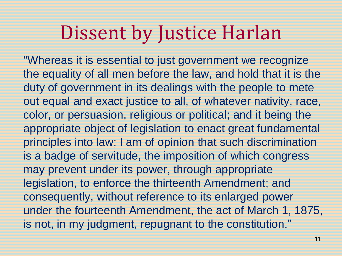### Dissent by Justice Harlan

"Whereas it is essential to just government we recognize the equality of all men before the law, and hold that it is the duty of government in its dealings with the people to mete out equal and exact justice to all, of whatever nativity, race, color, or persuasion, religious or political; and it being the appropriate object of legislation to enact great fundamental principles into law; I am of opinion that such discrimination is a badge of servitude, the imposition of which congress may prevent under its power, through appropriate legislation, to enforce the thirteenth Amendment; and consequently, without reference to its enlarged power under the fourteenth Amendment, the act of March 1, 1875, is not, in my judgment, repugnant to the constitution."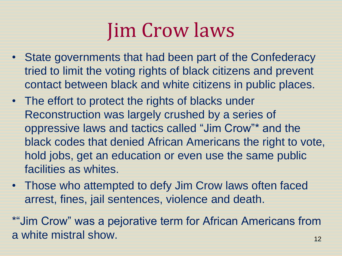# Jim Crow laws

- State governments that had been part of the Confederacy tried to limit the voting rights of black citizens and prevent contact between black and white citizens in public places.
- The effort to protect the rights of blacks under Reconstruction was largely crushed by a series of oppressive laws and tactics called "Jim Crow"\* and the black codes that denied African Americans the right to vote, hold jobs, get an education or even use the same public facilities as whites.
- Those who attempted to defy Jim Crow laws often faced arrest, fines, jail sentences, violence and death.

\*"Jim Crow" was a pejorative term for African Americans from a white mistral show.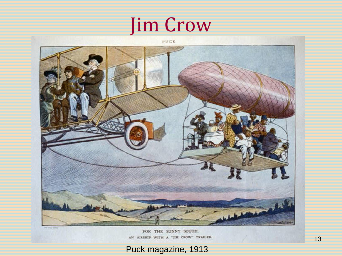# Jim Crow



FOR THE SUNNY SOUTH. AN AIRSHIP WITH A "JIM CROW" TRAILER.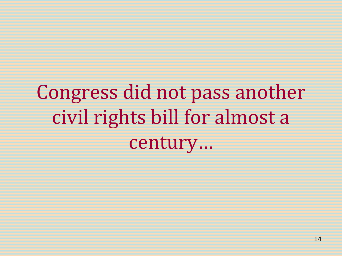# Congress did not pass another civil rights bill for almost a century…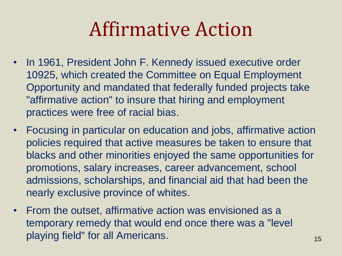# Affirmative Action

- In 1961, President John F. Kennedy issued executive order 10925, which created the Committee on Equal Employment Opportunity and mandated that federally funded projects take "affirmative action" to insure that hiring and employment practices were free of racial bias.
- Focusing in particular on education and jobs, affirmative action policies required that active measures be taken to ensure that blacks and other minorities enjoyed the same opportunities for promotions, salary increases, career advancement, school admissions, scholarships, and financial aid that had been the nearly exclusive province of whites.
- From the outset, affirmative action was envisioned as a temporary remedy that would end once there was a "level playing field" for all Americans. The matrix of the state of the state of the state of the state of the state o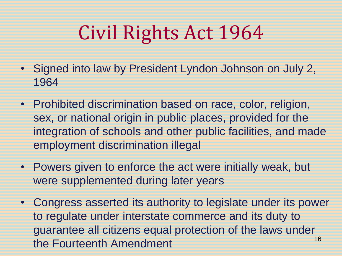# Civil Rights Act 1964

- Signed into law by President Lyndon Johnson on July 2, 1964
- Prohibited discrimination based on race, color, religion, sex, or national origin in public places, provided for the integration of schools and other public facilities, and made employment discrimination illegal
- Powers given to enforce the act were initially weak, but were supplemented during later years
- Congress asserted its authority to legislate under its power to regulate under interstate commerce and its duty to guarantee all citizens equal protection of the laws under the Fourteenth Amendment 16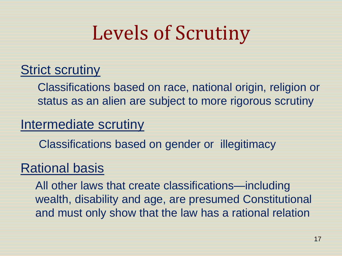# Levels of Scrutiny

#### Strict scrutiny

Classifications based on race, national origin, religion or status as an alien are subject to more rigorous scrutiny

#### Intermediate scrutiny

Classifications based on gender or illegitimacy

#### Rational basis

All other laws that create classifications—including wealth, disability and age, are presumed Constitutional and must only show that the law has a rational relation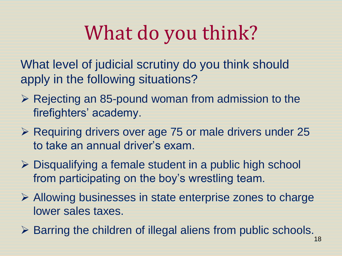# What do you think?

What level of judicial scrutiny do you think should apply in the following situations?

- $\triangleright$  Rejecting an 85-pound woman from admission to the firefighters' academy.
- ▶ Requiring drivers over age 75 or male drivers under 25 to take an annual driver's exam.
- $\triangleright$  Disqualifying a female student in a public high school from participating on the boy's wrestling team.
- $\triangleright$  Allowing businesses in state enterprise zones to charge lower sales taxes.
- ▶ Barring the children of illegal aliens from public schools.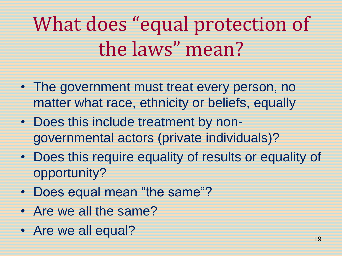# What does "equal protection of the laws" mean?

- The government must treat every person, no matter what race, ethnicity or beliefs, equally
- Does this include treatment by nongovernmental actors (private individuals)?
- Does this require equality of results or equality of opportunity?
- Does equal mean "the same"?
- Are we all the same?
- Are we all equal?